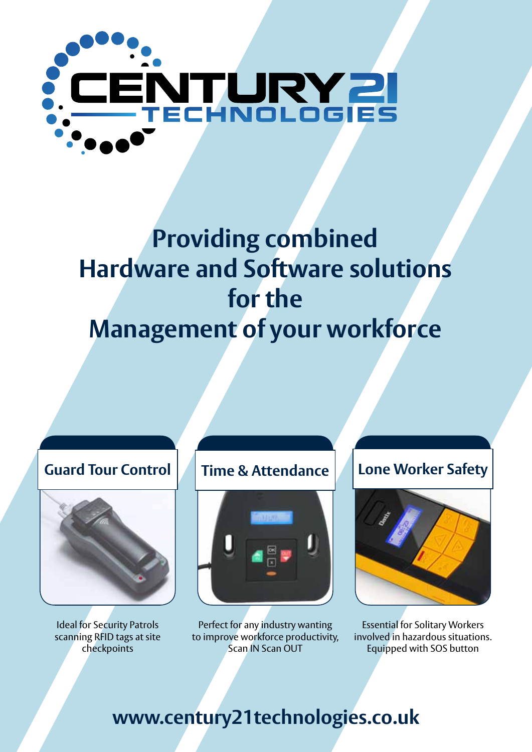

# **Providing combined Hardware and Software solutions for the Management of your workforce**



Ideal for Security Patrols scanning RFID tags at site checkpoints



Perfect for any industry wanting to improve workforce productivity, Scan IN Scan OUT

### **Guard Tour Control Time & Attendance Lone Worker Safety**



Essential for Solitary Workers involved in hazardous situations. Equipped with SOS button

## **www.century21technologies.co.uk**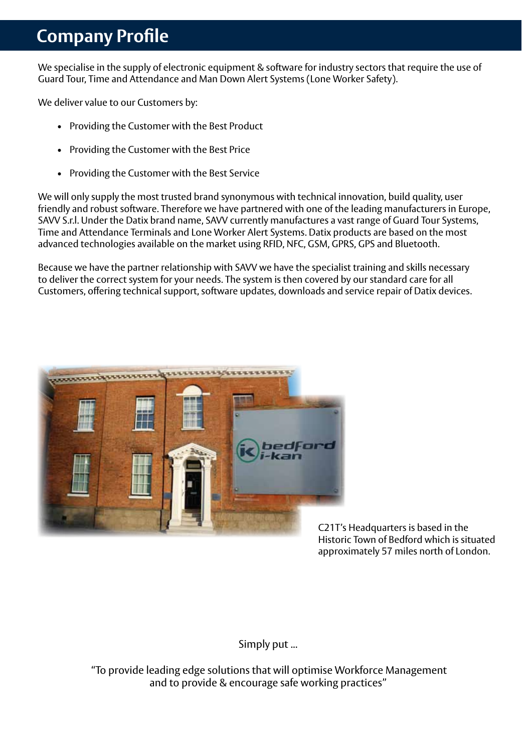### **Company Profile**

We specialise in the supply of electronic equipment & software for industry sectors that require the use of Guard Tour, Time and Attendance and Man Down Alert Systems (Lone Worker Safety).

We deliver value to our Customers by:

- Providing the Customer with the Best Product
- Providing the Customer with the Best Price
- • Providing the Customer with the Best Service

We will only supply the most trusted brand synonymous with technical innovation, build quality, user friendly and robust software. Therefore we have partnered with one of the leading manufacturers in Europe, SAVV S.r.l. Under the Datix brand name, SAVV currently manufactures a vast range of Guard Tour Systems, Time and Attendance Terminals and Lone Worker Alert Systems. Datix products are based on the most advanced technologies available on the market using RFID, NFC, GSM, GPRS, GPS and Bluetooth.

Because we have the partner relationship with SAVV we have the specialist training and skills necessary to deliver the correct system for your needs. The system is then covered by our standard care for all Customers, offering technical support, software updates, downloads and service repair of Datix devices.



C21T's Headquarters is based in the Historic Town of Bedford which is situated approximately 57 miles north of London.

Simply put ...

 "To provide leading edge solutions that will optimise Workforce Management and to provide & encourage safe working practices"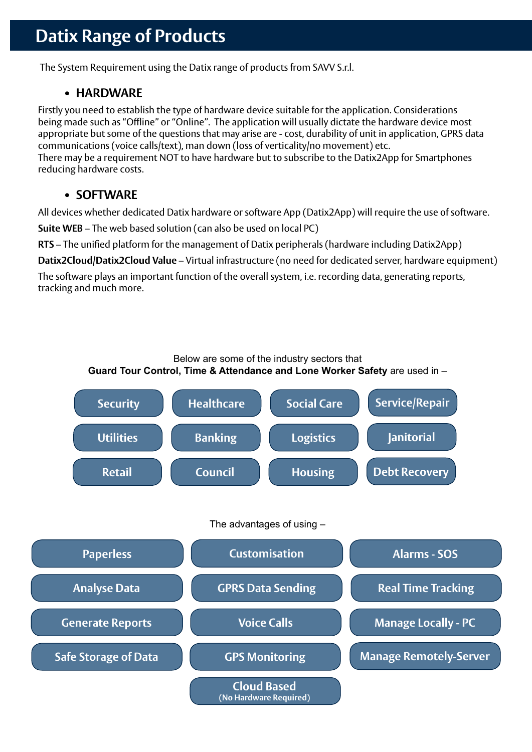### **Datix Range of Products**

The System Requirement using the Datix range of products from SAVV S.r.l.

#### **• HARDWARE**

Firstly you need to establish the type of hardware device suitable for the application. Considerations being made such as "Offline" or "Online". The application will usually dictate the hardware device most appropriate but some of the questions that may arise are - cost, durability of unit in application, GPRS data communications (voice calls/text), man down (loss of verticality/no movement) etc. There may be a requirement NOT to have hardware but to subscribe to the Datix2App for Smartphones reducing hardware costs.

#### **• SOFTWARE**

All devices whether dedicated Datix hardware or software App (Datix2App) will require the use of software.

**Suite WEB** – The web based solution (can also be used on local PC)

**RTS** – The unified platform for the management of Datix peripherals (hardware including Datix2App)

**Datix2Cloud/Datix2Cloud Value** – Virtual infrastructure (no need for dedicated server, hardware equipment)

The software plays an important function of the overall system, i.e. recording data, generating reports, tracking and much more.

Below are some of the industry sectors that

**Guard Tour Control, Time & Attendance and Lone Worker Safety** are used in –

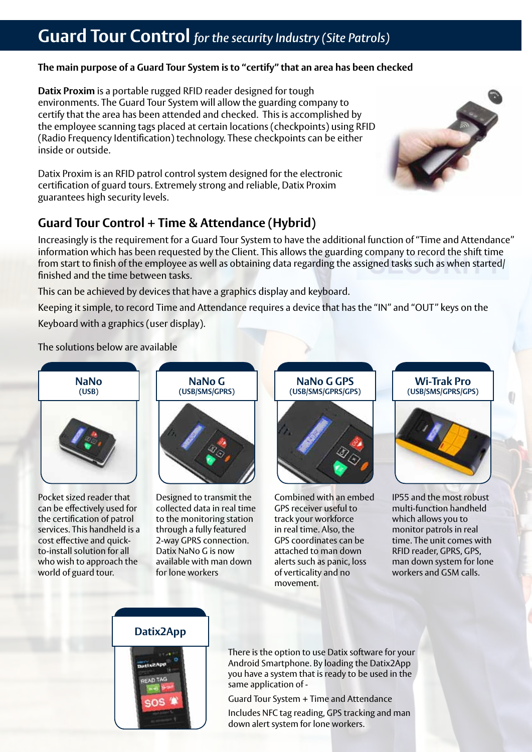### **Guard Tour Control** *for the security Industry (Site Patrols)*

#### **The main purpose of a Guard Tour System is to "certify" that an area has been checked**

**Datix Proxim** is a portable rugged RFID reader designed for tough environments. The Guard Tour System will allow the guarding company to certify that the area has been attended and checked. This is accomplished by the employee scanning tags placed at certain locations (checkpoints) using RFID (Radio Frequency Identification) technology. These checkpoints can be either inside or outside.

Datix Proxim is an RFID patrol control system designed for the electronic certification of guard tours. Extremely strong and reliable, Datix Proxim guarantees high security levels.

#### **Guard Tour Control + Time & Attendance (Hybrid)**

Increasingly is the requirement for a Guard Tour System to have the additional function of "Time and Attendance" information which has been requested by the Client. This allows the guarding company to record the shift time from start to finish of the employee as well as obtaining data regarding the assigned tasks such as when started/ finished and the time between tasks.

This can be achieved by devices that have a graphics display and keyboard.

Keeping it simple, to record Time and Attendance requires a device that has the "IN" and "OUT" keys on the Keyboard with a graphics (user display).

The solutions below are available



Pocket sized reader that can be effectively used for the certification of patrol services. This handheld is a cost effective and quickto-install solution for all who wish to approach the world of guard tour.



Designed to transmit the collected data in real time to the monitoring station through a fully featured 2-way GPRS connection. Datix NaNo G is now available with man down for lone workers

**NaNo G GPS (USB/SMS/GPRS/GPS)**



Combined with an embed GPS receiver useful to track your workforce in real time. Also, the GPS coordinates can be attached to man down alerts such as panic, loss of verticality and no movement.

**Wi-Trak Pro (USB/SMS/GPRS/GPS)**

IP55 and the most robust multi-function handheld which allows you to monitor patrols in real time. The unit comes with RFID reader, GPRS, GPS, man down system for lone workers and GSM calls.



OS

There is the option to use Datix software for your Android Smartphone. By loading the Datix2App you have a system that is ready to be used in the same application of -

Guard Tour System + Time and Attendance

Includes NFC tag reading, GPS tracking and man down alert system for lone workers.

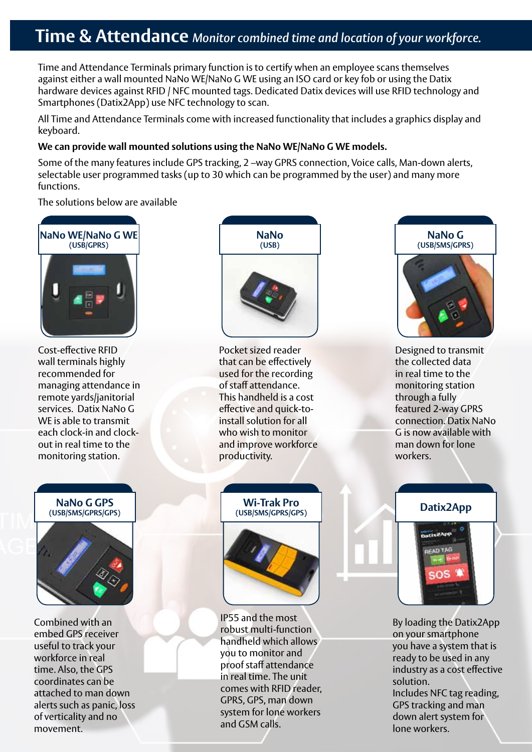### **Time & Attendance** *Monitor combined time and location of your workforce.*

Time and Attendance Terminals primary function is to certify when an employee scans themselves against either a wall mounted NaNo WE/NaNo G WE using an ISO card or key fob or using the Datix hardware devices against RFID / NFC mounted tags. Dedicated Datix devices will use RFID technology and Smartphones (Datix2App) use NFC technology to scan.

All Time and Attendance Terminals come with increased functionality that includes a graphics display and keyboard.

#### **We can provide wall mounted solutions using the NaNo WE/NaNo G WE models.**

Some of the many features include GPS tracking, 2 –way GPRS connection, Voice calls, Man-down alerts, selectable user programmed tasks (up to 30 which can be programmed by the user) and many more functions.

The solutions below are available



Cost-effective RFID wall terminals highly recommended for managing attendance in remote yards/janitorial services. Datix NaNo G WE is able to transmit each clock-in and clockout in real time to the monitoring station.



Combined with an embed GPS receiver useful to track your workforce in real time. Also, the GPS coordinates can be attached to man down alerts such as panic, loss of verticality and no movement.



Pocket sized reader that can be effectively used for the recording of staff attendance. This handheld is a cost effective and quick-toinstall solution for all who wish to monitor and improve workforce productivity.



IP55 and the most robust multi-function handheld which allows you to monitor and proof staff attendance in real time. The unit comes with RFID reader, GPRS, GPS, man down system for lone workers and GSM calls.



Designed to transmit the collected data in real time to the monitoring station through a fully featured 2-way GPRS connection. Datix NaNo G is now available with man down for lone workers.



By loading the Datix2App on your smartphone you have a system that is ready to be used in any industry as a cost effective solution. Includes NFC tag reading, GPS tracking and man down alert system for lone workers.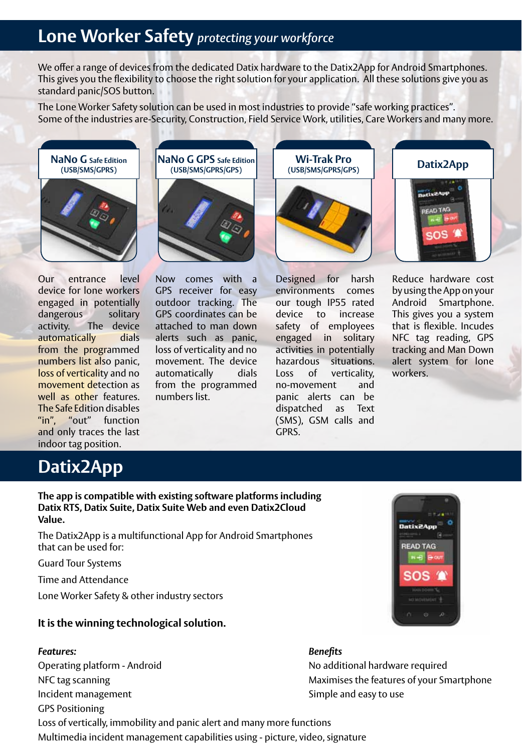### **Lone Worker Safety** *protecting your workforce*

We offer a range of devices from the dedicated Datix hardware to the Datix2App for Android Smartphones. This gives you the flexibility to choose the right solution for your application. All these solutions give you as standard panic/SOS button.

The Lone Worker Safety solution can be used in most industries to provide "safe working practices". Some of the industries are-Security, Construction, Field Service Work, utilities, Care Workers and many more.





Our entrance level device for lone workers engaged in potentially dangerous solitary activity. The device automatically dials from the programmed numbers list also panic, loss of verticality and no movement detection as well as other features. The Safe Edition disables "in", "out" function and only traces the last indoor tag position.

Now comes with a GPS receiver for easy outdoor tracking. The GPS coordinates can be attached to man down alerts such as panic, loss of verticality and no movement. The device automatically dials from the programmed numbers list.

Designed for harsh environments comes our tough IP55 rated device to increase safety of employees engaged in solitary activities in potentially hazardous situations. Loss of verticality, no-movement and panic alerts can be dispatched as Text (SMS), GSM calls and GPRS.

**Wi-Trak Pro (USB/SMS/GPRS/GPS)**

Reduce hardware cost

by using the App on your Android Smartphone. This gives you a system that is flexible. Incudes NFC tag reading, GPS tracking and Man Down alert system for lone workers.

### **Datix2App**

**The app is compatible with existing software platforms including Datix RTS, Datix Suite, Datix Suite Web and even Datix2Cloud Value.**

The Datix2App is a multifunctional App for Android Smartphones that can be used for:

Guard Tour Systems

Time and Attendance

Lone Worker Safety & other industry sectors

#### **It is the winning technological solution.**

#### *Features: Benefits*

Incident management **Simple and easy to use** GPS Positioning



Operating platform - Android and No additional hardware required NFC tag scanning **Maximises** the features of your Smartphone

Loss of vertically, immobility and panic alert and many more functions Multimedia incident management capabilities using - picture, video, signature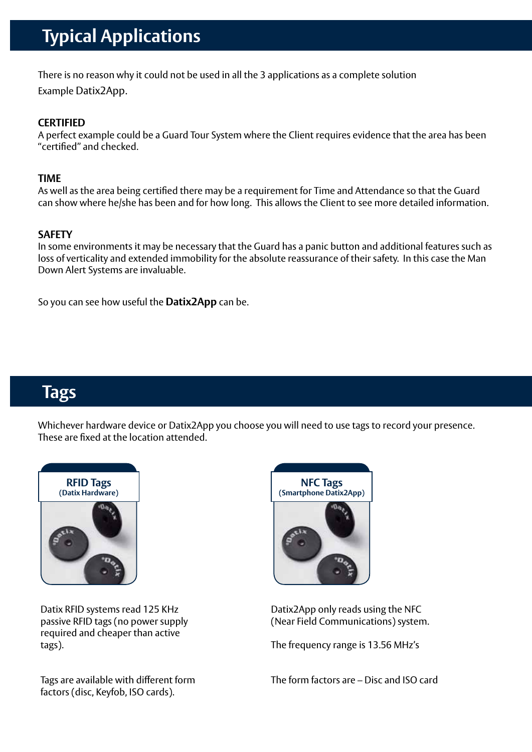## **Typical Applications**

There is no reason why it could not be used in all the 3 applications as a complete solution Example Datix2App.

#### **CERTIFIED**

A perfect example could be a Guard Tour System where the Client requires evidence that the area has been "certified" and checked.

#### **TIME**

As well as the area being certified there may be a requirement for Time and Attendance so that the Guard can show where he/she has been and for how long. This allows the Client to see more detailed information.

#### **SAFETY**

In some environments it may be necessary that the Guard has a panic button and additional features such as loss of verticality and extended immobility for the absolute reassurance of their safety. In this case the Man Down Alert Systems are invaluable.

So you can see how useful the **Datix2App** can be.

### **Tags**

Whichever hardware device or Datix2App you choose you will need to use tags to record your presence. These are fixed at the location attended.



Datix RFID systems read 125 KHz passive RFID tags (no power supply required and cheaper than active tags).

Tags are available with different form factors (disc, Keyfob, ISO cards).



Datix2App only reads using the NFC (Near Field Communications) system.

The frequency range is 13.56 MHz's

The form factors are – Disc and ISO card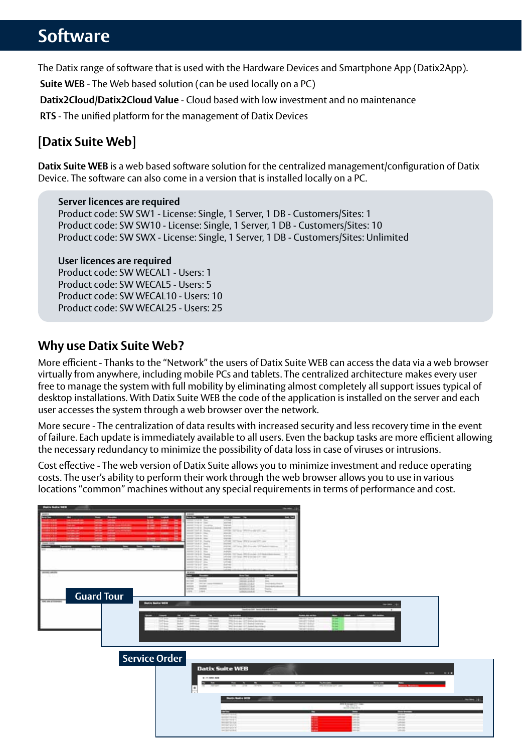### **Software**

The Datix range of software that is used with the Hardware Devices and Smartphone App (Datix2App).

**Suite WEB** - The Web based solution (can be used locally on a PC)

**Datix2Cloud/Datix2Cloud Value** - Cloud based with low investment and no maintenance

**RTS** - The unified platform for the management of Datix Devices

### **[Datix Suite Web]**

**Datix Suite WEB** is a web based software solution for the centralized management/configuration of Datix Device. The software can also come in a version that is installed locally on a PC.

#### **Server licences are required**

 Product code: SW SW1 - License: Single, 1 Server, 1 DB - Customers/Sites: 1 Product code: SW SW10 - License: Single, 1 Server, 1 DB - Customers/Sites: 10 Product code: SW SWX - License: Single, 1 Server, 1 DB - Customers/Sites: Unlimited

#### **User licences are required**

Product code: SW WECAL1 - Users: 1 Product code: SW WECAL5 - Users: 5 Product code: SW WECAL10 - Users: 10 Product code: SW WECAL25 - Users: 25

#### **Why use Datix Suite Web?**

More efficient - Thanks to the "Network" the users of Datix Suite WEB can access the data via a web browser virtually from anywhere, including mobile PCs and tablets. The centralized architecture makes every user free to manage the system with full mobility by eliminating almost completely all support issues typical of desktop installations. With Datix Suite WEB the code of the application is installed on the server and each user accesses the system through a web browser over the network.

More secure - The centralization of data results with increased security and less recovery time in the event of failure. Each update is immediately available to all users. Even the backup tasks are more efficient allowing the necessary redundancy to minimize the possibility of data loss in case of viruses or intrusions.

Cost effective - The web version of Datix Suite allows you to minimize investment and reduce operating costs. The user's ability to perform their work through the web browser allows you to use in various locations "common" machines without any special requirements in terms of performance and cost.

| <b>Built Suite MER</b>                                                                                              |                                                                                                                                                                                                                                                                                                                                                                                                                                                                                                                                                                                                                                                                                                                                                                                                                                                                                                                                                                                                                                                                                                                                                                                                                                                               |                                                                                                                                                                                                       |                                          |
|---------------------------------------------------------------------------------------------------------------------|---------------------------------------------------------------------------------------------------------------------------------------------------------------------------------------------------------------------------------------------------------------------------------------------------------------------------------------------------------------------------------------------------------------------------------------------------------------------------------------------------------------------------------------------------------------------------------------------------------------------------------------------------------------------------------------------------------------------------------------------------------------------------------------------------------------------------------------------------------------------------------------------------------------------------------------------------------------------------------------------------------------------------------------------------------------------------------------------------------------------------------------------------------------------------------------------------------------------------------------------------------------|-------------------------------------------------------------------------------------------------------------------------------------------------------------------------------------------------------|------------------------------------------|
| $- -$<br>۰<br>$\overline{\phantom{a}}$<br><b>Select Service</b><br>---<br><b>SECOND LINESTS</b><br>œ                | ---<br>---<br>--<br><b><i><i><u>RESPONSIVENCE</u></i></i></b><br><b>Service</b><br>and Circle of Concerning<br><b>Harriott</b><br>matedy homesaged been<br>available in North<br>DATE TO the Williams of the case.<br>and looking that<br><b>MARKET</b><br>and Chinese Come<br>warned.<br><b>SECURE A</b><br><b>SHORE</b><br><b>GREATER CARDS</b><br>Solicité les donc (WE's or per left une<br><b>GREGARD SHA</b><br>Sales<br><b>STARK Reals</b><br>pares (27 km 201-5 x ps. 21" behind pares<br>antique in Time<br><b>Lake Age</b><br><b>HECHEL</b><br><b>SOUR</b><br><b><i>CONTRACTOR</i></b><br>intrim for buy 1953 and 2-7 band by<br><b>PERCHART MARK</b><br>printed controls. He'll be sentimented<br><b>ASSISTENCE</b><br><b>Land</b><br><b><i>ASSESSED MA</i></b><br>Links of<br>dominate.<br>01019107304<br><b>GIRDER SEA</b><br><b>Santa</b><br>$-1$<br>the control<br>ment part<br>m.<br>THE R. P. LEWIS CO., LANSING MICH.<br>Transite de altres chiesas de<br>3081582<br><b>THEFT</b><br>District Contractor<br><b>SIMBROGRAP</b><br>$\frac{1}{2} \left( \frac{1}{2} \right) \left( \frac{1}{2} \right) \left( \frac{1}{2} \right)$<br><b>College</b><br><b>WINDLESS</b><br><b>Santa</b><br><b>Simple</b><br>and .<br><b>Daniel</b><br>18931888 |                                                                                                                                                                                                       |                                          |
| <b>Guard Tour</b><br>196.08.0700444<br><b>Busine Basical WEIG</b><br>囤<br><b>STEEL</b><br>臨島<br><b>Senate</b><br>-- | Sand parties, November 2010<br><b><i><u>Seconds</u></i></b><br>$-$<br>$12 - 12$<br><b>Selling</b><br>PERSONAL STRAIGHT<br>14044<br><b>STERNES</b><br><b>CONTRACTOR</b><br>24 lands<br>WE SHOW UP RANGERED<br>we drive a city that the count<br><b>Links</b>                                                                                                                                                                                                                                                                                                                                                                                                                                                                                                                                                                                                                                                                                                                                                                                                                                                                                                                                                                                                   | means (19)<br>$\overline{a}$<br><b>Tools are not buy</b><br><b>SHARE STORES</b><br>$\overline{\phantom{a}}$<br>$-$<br><b>SHARP SULA</b><br><b>SHATALL</b><br>Sergenand<br><b>WASHINGTON</b>           |                                          |
| <b>Service Order</b>                                                                                                | <b>Datix Suite WEB</b><br>4.141, 0.031, 0.03<br>---<br><b>Colorado Bookday</b><br><b>No. Tele</b><br>$\Phi$<br>ь<br><b>Static Railry WIN</b><br>--<br><b>January Windo</b><br>classed states<br><b>HIGHAN</b><br>101107-017<br><b>Salimental AV</b><br><b>TRESPONDER</b>                                                                                                                                                                                                                                                                                                                                                                                                                                                                                                                                                                                                                                                                                                                                                                                                                                                                                                                                                                                      | <b>The Second Contract of the Contract</b><br><b>Search</b><br>-<br><b>TELESCO</b><br>_<br>罪<br><b>COLOR</b><br>$-11.1$<br>SHA<br>-<br><b>COLOR</b><br><b>SPERING</b><br><b>HELL</b><br><b>SPERIE</b> | <b>DATABLE 01818</b><br><b>REMARK DR</b> |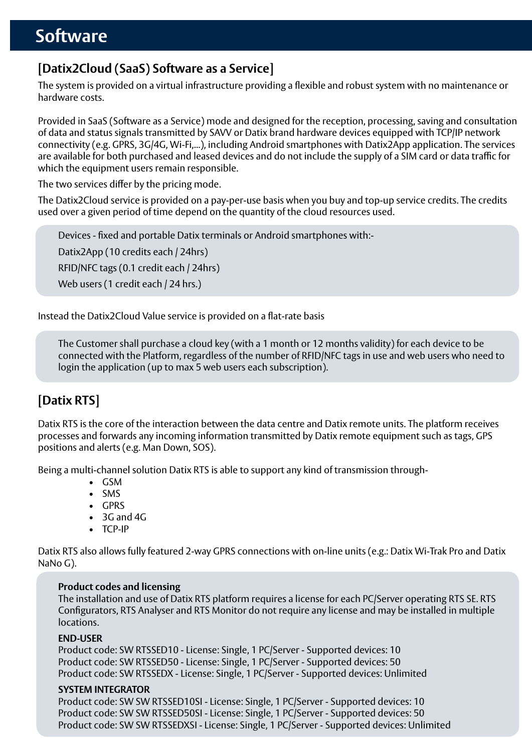#### **[Datix2Cloud (SaaS) Software as a Service]**

The system is provided on a virtual infrastructure providing a flexible and robust system with no maintenance or hardware costs.

Provided in SaaS (Software as a Service) mode and designed for the reception, processing, saving and consultation of data and status signals transmitted by SAVV or Datix brand hardware devices equipped with TCP/IP network connectivity (e.g. GPRS, 3G/4G, Wi-Fi,...), including Android smartphones with Datix2App application. The services are available for both purchased and leased devices and do not include the supply of a SIM card or data traffic for which the equipment users remain responsible.

The two services differ by the pricing mode.

The Datix2Cloud service is provided on a pay-per-use basis when you buy and top-up service credits. The credits used over a given period of time depend on the quantity of the cloud resources used.

Devices - fixed and portable Datix terminals or Android smartphones with:- Datix2App (10 credits each / 24hrs) RFID/NFC tags (0.1 credit each / 24hrs) Web users (1 credit each / 24 hrs.)

Instead the Datix2Cloud Value service is provided on a flat-rate basis

The Customer shall purchase a cloud key (with a 1 month or 12 months validity) for each device to be connected with the Platform, regardless of the number of RFID/NFC tags in use and web users who need to login the application (up to max 5 web users each subscription).

### **[Datix RTS]**

Datix RTS is the core of the interaction between the data centre and Datix remote units. The platform receives processes and forwards any incoming information transmitted by Datix remote equipment such as tags, GPS positions and alerts (e.g. Man Down, SOS).

Being a multi-channel solution Datix RTS is able to support any kind of transmission through-

- • GSM
- • SMS
- • GPRS
- • 3G and 4G
- • TCP-IP

Datix RTS also allows fully featured 2-way GPRS connections with on-line units (e.g.: Datix Wi-Trak Pro and Datix NaNo G).

#### **Product codes and licensing**

The installation and use of Datix RTS platform requires a license for each PC/Server operating RTS SE. RTS Configurators, RTS Analyser and RTS Monitor do not require any license and may be installed in multiple **locations** 

#### **END-USER**

Product code: SW RTSSED10 - License: Single, 1 PC/Server - Supported devices: 10 Product code: SW RTSSED50 - License: Single, 1 PC/Server - Supported devices: 50 Product code: SW RTSSEDX - License: Single, 1 PC/Server - Supported devices: Unlimited

#### **SYSTEM INTEGRATOR**

Product code: SW SW RTSSED10SI - License: Single, 1 PC/Server - Supported devices: 10 Product code: SW SW RTSSED50SI - License: Single, 1 PC/Server - Supported devices: 50 Product code: SW SW RTSSEDXSI - License: Single, 1 PC/Server - Supported devices: Unlimited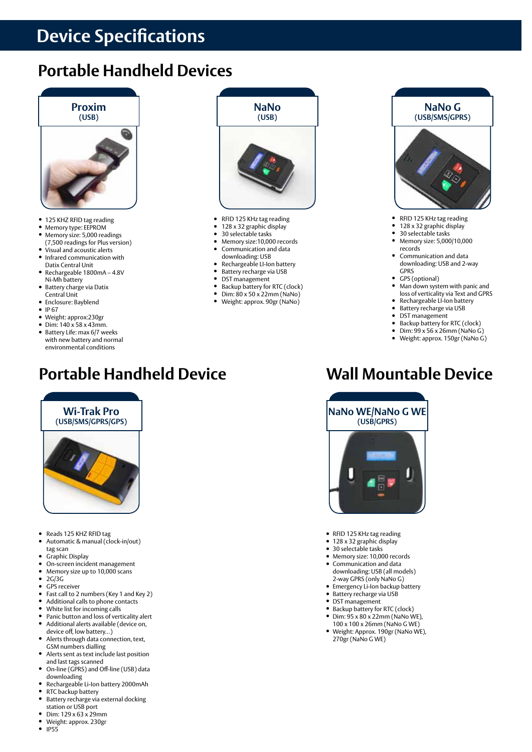### **Device Specifications**

### **Portable Handheld Devices**



- 125 KHZ RFID tag reading
- **•** Memory type: EEPROM
- Memory size: 5,000 readings
- (7,500 readings for Plus version) Visual and acoustic alerts
- Infrared communication with Datix Central Unit
- Rechargeable 1800mA 4.8V Ni-Mh battery
- $\bullet$  Battery charge via Datix
- Central Unit • Enclosure: Bayblend
- $\bullet$  IP 67
- Weight: approx:230gr
- $\bullet$  Dim: 140 x 58 x 43mm.
- Battery Life: max 6/7 weeks with new battery and normal environmental conditions

**Wi-Trak Pro (USB/SMS/GPRS/GPS)**

## **Portable Handheld Device Wall Mountable Device**



- RFID 125 KHz tag reading
- <sup>l</sup> 128 x 32 graphic display
- 30 selectable tasks
- Memory size:10,000 records
- Communication and data
- downloading: USB
- Rechargeable LI-Ion battery **•** Battery recharge via USB
- DST management
- Backup battery for RTC (clock)
- Dim:  $80 \times 50 \times 22$ mm (NaNo)<br>• Weight: approx.  $90$ gr (NaNo)
- <sup>l</sup> Weight: approx. 90gr (NaNo)



- RFID 125 KHz tag reading
- 128 x 32 graphic display
- 30 selectable tasks <sup>l</sup> Memory size: 5,000/10,000 records
- Communication and data downloading: USB and 2-way GPRS
- GPS (optional)
- Man down system with panic and loss of verticality via Text and GPRS
- Rechargeable LI-Ion battery
- Battery recharge via USB<br>● DST management DST management
- 
- Backup battery for RTC (clock)
- Dim:  $99 \times 56 \times 26$ mm (NaNo G)<br>● Weight: approx 150gr (NaNo G) <sup>l</sup> Weight: approx. 150gr (NaNo G)
- 



- RFID 125 KHz tag reading
- 128 x 32 graphic display
- 30 selectable tasks
- Memory size: 10,000 records Communication and data downloading: USB (all models)
- 2-way GPRS (only NaNo G) Emergency Li-Ion backup battery
- Battery recharge via USB
- DST management
- Backup battery for RTC (clock)
- $\bullet$  Dim: 95 x 80 x 22mm (NaNo WE), 100 x 100 x 26mm (NaNo G WE)
- <sup>l</sup> Weight: Approx. 190gr (NaNo WE), 270gr (NaNo G WE)
- Reads 125 KHZ RFID tag
- Automatic & manual (clock-in/out) tag scan
- Graphic Display<br>• On-screen incid
- On-screen incident management<br>• Memory size up to 10,000 scans
- Memory size up to 10,000 scans
- $\cdot$  2G/3G
- GPS receiver
- Fast call to 2 numbers (Key 1 and Key 2)<br>● Additional calls to phone contacts Additional calls to phone contacts
- White list for incoming calls
- Panic button and loss of verticality alert  $\bullet$  Additional alorts available (device on
- Additional alerts available (device on, device off, low battery…)
- Alerts through data connection, text, GSM numbers dialling
- Alerts sent as text include last position and last tags scanned
- On-line (GPRS) and Off-line (USB) data downloading
- Rechargeable Li-Ion battery 2000mAh • RTC backup battery<br>• Battery recharge via
- Battery recharge via external docking
- station or USB port Dim: 129 x 63 x 29mm
- $\bullet$  Weight: approx. 230gr
- <sup>l</sup> IP55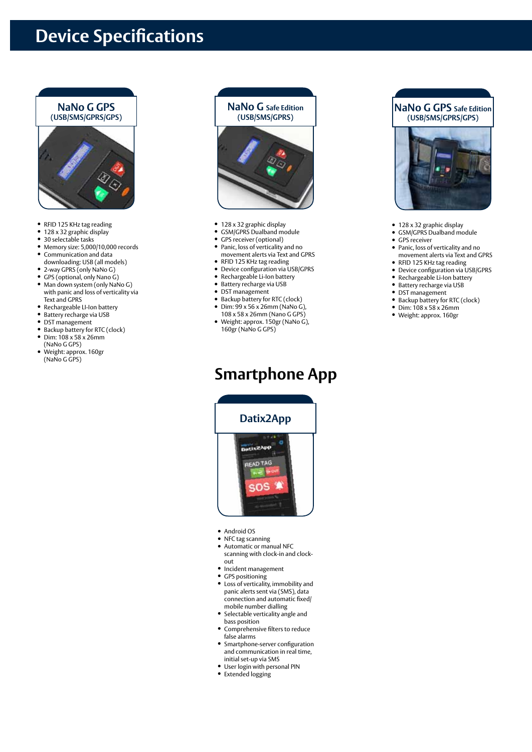### **Device Specifications**



- RFID 125 KHz tag reading
- 128 x 32 graphic display
- 30 selectable tasks
- Memory size: 5,000/10,000 records **• Communication and data**
- downloading: USB (all models)
- 2-way GPRS (only NaNo G)
- **•** GPS (optional, only Nano G)
- Man down system (only NaNo G) with panic and loss of verticality via Text and GPRS
- Rechargeable LI-Ion battery
- **•** Battery recharge via USB
- DST management
- Backup battery for RTC (clock)
- $\bullet$  Dim: 108 x 58 x 26mm (NaNo G GPS)
- Weight: approx. 160gr (NaNo G GPS)



- 128 x 32 graphic display
- GSM/GPRS Dualband module
- GPS receiver (optional)
- Panic, loss of verticality and no movement alerts via Text and GPRS
- RFID 125 KHz tag reading
- Device configuration via USB/GPRS
- Rechargeable Li-Ion battery
- **•** Battery recharge via USB
- DST management
- Backup battery for RTC (clock)
- $\bullet$  Dim: 99 x 56 x 26mm (NaNo G), 108 x 58 x 26mm (Nano G GPS)
- <sup>l</sup> Weight: approx. 150gr (NaNo G), 160gr (NaNo G GPS)

### **Smartphone App**



- Android OS
- NFC tag scanning
- Automatic or manual NFC scanning with clock-in and clockout
- Incident management
- GPS positioning
- Loss of verticality, immobility and panic alerts sent via (SMS), data connection and automatic fixed/ mobile number dialling
- Selectable verticality angle and bass position
- Comprehensive filters to reduce false alarms
- Smartphone-server configuration and communication in real time, initial set-up via SMS
- User login with personal PIN
- Extended logging





- 128 x 32 graphic display
- GSM/GPRS Dualband module
- $\bullet$  GPS receiver
- Panic, loss of verticality and no movement alerts via Text and GPRS
- RFID 125 KHz tag reading • Device configuration via USB/GPRS
- Rechargeable Li-Ion battery
- Battery recharge via USB
- DST management
- Backup battery for RTC (clock)
- $\bullet$  Dim: 108 x 58 x 26mm
- Weight: approx. 160gr
- 
-